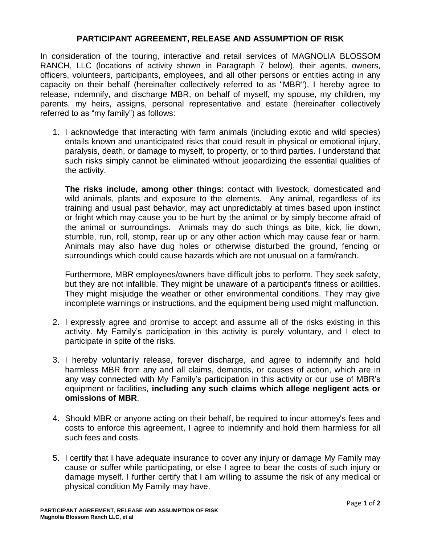## **PARTICIPANT AGREEMENT, RELEASE AND ASSUMPTION OF RISK**

In consideration of the touring, interactive and retail services of MAGNOLIA BLOSSOM RANCH, LLC (locations of activity shown in Paragraph 7 below), their agents, owners, officers, volunteers, participants, employees, and all other persons or entities acting in any capacity on their behalf (hereinafter collectively referred to as "MBR"), I hereby agree to release, indemnify, and discharge MBR, on behalf of myself, my spouse, my children, my parents, my heirs, assigns, personal representative and estate (hereinafter collectively referred to as "my family") as follows:

1. I acknowledge that interacting with farm animals (including exotic and wild species) entails known and unanticipated risks that could result in physical or emotional injury, paralysis, death, or damage to myself, to property, or to third parties. I understand that such risks simply cannot be eliminated without jeopardizing the essential qualities of the activity.

**The risks include, among other things**: contact with livestock, domesticated and wild animals, plants and exposure to the elements. Any animal, regardless of its training and usual past behavior, may act unpredictably at times based upon instinct or fright which may cause you to be hurt by the animal or by simply become afraid of the animal or surroundings. Animals may do such things as bite, kick, lie down, stumble, run, roll, stomp, rear up or any other action which may cause fear or harm. Animals may also have dug holes or otherwise disturbed the ground, fencing or surroundings which could cause hazards which are not unusual on a farm/ranch.

Furthermore, MBR employees/owners have difficult jobs to perform. They seek safety, but they are not infallible. They might be unaware of a participant's fitness or abilities. They might misjudge the weather or other environmental conditions. They may give incomplete warnings or instructions, and the equipment being used might malfunction.

- 2. I expressly agree and promise to accept and assume all of the risks existing in this activity. My Family's participation in this activity is purely voluntary, and I elect to participate in spite of the risks.
- 3. I hereby voluntarily release, forever discharge, and agree to indemnify and hold harmless MBR from any and all claims, demands, or causes of action, which are in any way connected with My Family's participation in this activity or our use of MBR's equipment or facilities, **including any such claims which allege negligent acts or omissions of MBR**.
- 4. Should MBR or anyone acting on their behalf, be required to incur attorney's fees and costs to enforce this agreement, I agree to indemnify and hold them harmless for all such fees and costs.
- 5. I certify that I have adequate insurance to cover any injury or damage My Family may cause or suffer while participating, or else I agree to bear the costs of such injury or damage myself. I further certify that I am willing to assume the risk of any medical or physical condition My Family may have.